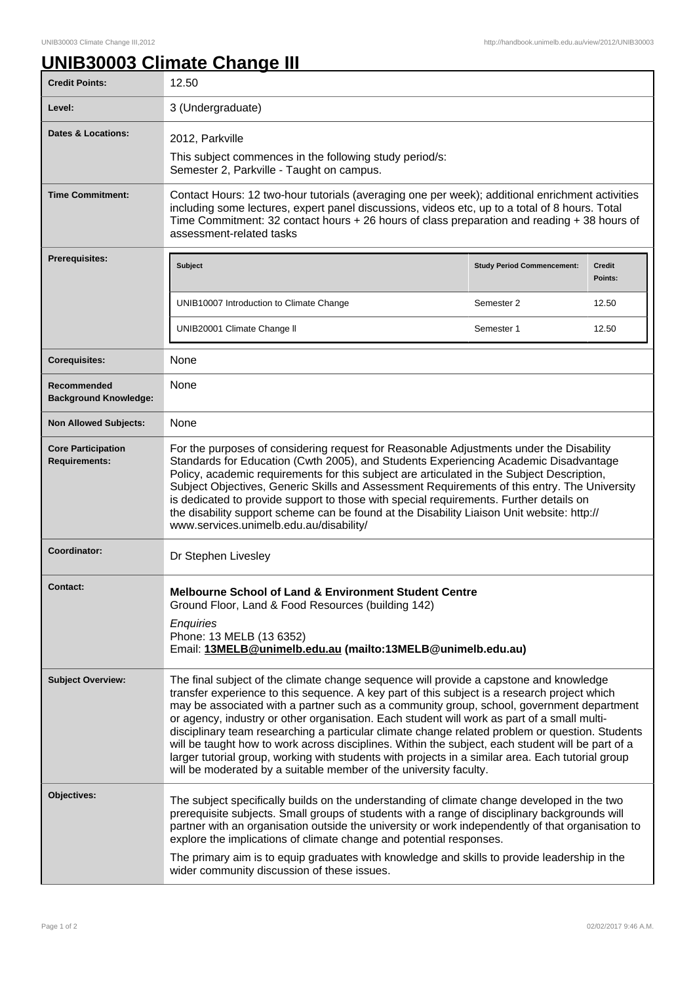## **UNIB30003 Climate Change III**

| <b>Credit Points:</b>                             | 12.50                                                                                                                                                                                                                                                                                                                                                                                                                                                                                                                                                                                                                                                                                                                                                                |                                   |                          |
|---------------------------------------------------|----------------------------------------------------------------------------------------------------------------------------------------------------------------------------------------------------------------------------------------------------------------------------------------------------------------------------------------------------------------------------------------------------------------------------------------------------------------------------------------------------------------------------------------------------------------------------------------------------------------------------------------------------------------------------------------------------------------------------------------------------------------------|-----------------------------------|--------------------------|
| Level:                                            | 3 (Undergraduate)                                                                                                                                                                                                                                                                                                                                                                                                                                                                                                                                                                                                                                                                                                                                                    |                                   |                          |
| Dates & Locations:                                | 2012, Parkville<br>This subject commences in the following study period/s:<br>Semester 2, Parkville - Taught on campus.                                                                                                                                                                                                                                                                                                                                                                                                                                                                                                                                                                                                                                              |                                   |                          |
| <b>Time Commitment:</b>                           | Contact Hours: 12 two-hour tutorials (averaging one per week); additional enrichment activities<br>including some lectures, expert panel discussions, videos etc, up to a total of 8 hours. Total<br>Time Commitment: 32 contact hours + 26 hours of class preparation and reading + 38 hours of<br>assessment-related tasks                                                                                                                                                                                                                                                                                                                                                                                                                                         |                                   |                          |
| <b>Prerequisites:</b>                             | <b>Subject</b>                                                                                                                                                                                                                                                                                                                                                                                                                                                                                                                                                                                                                                                                                                                                                       | <b>Study Period Commencement:</b> | <b>Credit</b><br>Points: |
|                                                   | UNIB10007 Introduction to Climate Change                                                                                                                                                                                                                                                                                                                                                                                                                                                                                                                                                                                                                                                                                                                             | Semester 2                        | 12.50                    |
|                                                   | UNIB20001 Climate Change II                                                                                                                                                                                                                                                                                                                                                                                                                                                                                                                                                                                                                                                                                                                                          | Semester 1                        | 12.50                    |
| <b>Corequisites:</b>                              | <b>None</b>                                                                                                                                                                                                                                                                                                                                                                                                                                                                                                                                                                                                                                                                                                                                                          |                                   |                          |
| Recommended<br><b>Background Knowledge:</b>       | None                                                                                                                                                                                                                                                                                                                                                                                                                                                                                                                                                                                                                                                                                                                                                                 |                                   |                          |
| <b>Non Allowed Subjects:</b>                      | None                                                                                                                                                                                                                                                                                                                                                                                                                                                                                                                                                                                                                                                                                                                                                                 |                                   |                          |
| <b>Core Participation</b><br><b>Requirements:</b> | For the purposes of considering request for Reasonable Adjustments under the Disability<br>Standards for Education (Cwth 2005), and Students Experiencing Academic Disadvantage<br>Policy, academic requirements for this subject are articulated in the Subject Description,<br>Subject Objectives, Generic Skills and Assessment Requirements of this entry. The University<br>is dedicated to provide support to those with special requirements. Further details on<br>the disability support scheme can be found at the Disability Liaison Unit website: http://<br>www.services.unimelb.edu.au/disability/                                                                                                                                                     |                                   |                          |
| Coordinator:                                      | Dr Stephen Livesley                                                                                                                                                                                                                                                                                                                                                                                                                                                                                                                                                                                                                                                                                                                                                  |                                   |                          |
| <b>Contact:</b>                                   | <b>Melbourne School of Land &amp; Environment Student Centre</b><br>Ground Floor, Land & Food Resources (building 142)<br>Enquiries<br>Phone: 13 MELB (13 6352)<br>Email: 13MELB@unimelb.edu.au (mailto:13MELB@unimelb.edu.au)                                                                                                                                                                                                                                                                                                                                                                                                                                                                                                                                       |                                   |                          |
| <b>Subject Overview:</b>                          | The final subject of the climate change sequence will provide a capstone and knowledge<br>transfer experience to this sequence. A key part of this subject is a research project which<br>may be associated with a partner such as a community group, school, government department<br>or agency, industry or other organisation. Each student will work as part of a small multi-<br>disciplinary team researching a particular climate change related problem or question. Students<br>will be taught how to work across disciplines. Within the subject, each student will be part of a<br>larger tutorial group, working with students with projects in a similar area. Each tutorial group<br>will be moderated by a suitable member of the university faculty. |                                   |                          |
| Objectives:                                       | The subject specifically builds on the understanding of climate change developed in the two<br>prerequisite subjects. Small groups of students with a range of disciplinary backgrounds will<br>partner with an organisation outside the university or work independently of that organisation to<br>explore the implications of climate change and potential responses.<br>The primary aim is to equip graduates with knowledge and skills to provide leadership in the<br>wider community discussion of these issues.                                                                                                                                                                                                                                              |                                   |                          |